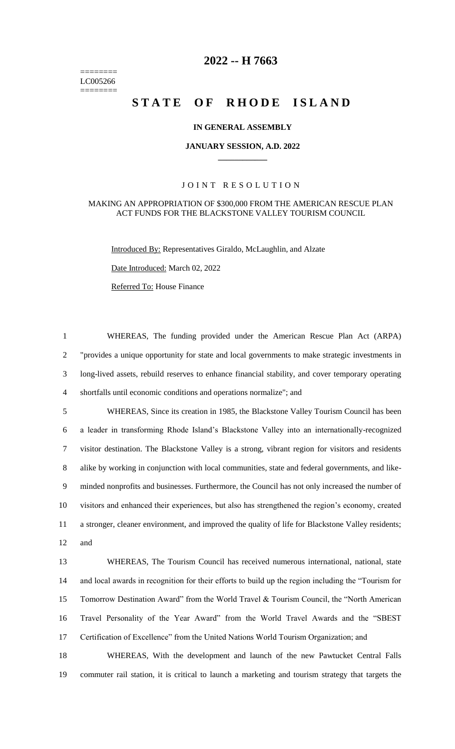======== LC005266 ========

# **-- H 7663**

# STATE OF RHODE ISLAND

## **IN GENERAL ASSEMBLY**

#### **JANUARY SESSION, A.D. 2022 \_\_\_\_\_\_\_\_\_\_\_\_**

## JOINT RESOLUTION

#### MAKING AN APPROPRIATION OF \$300,000 FROM THE AMERICAN RESCUE PLAN ACT FUNDS FOR THE BLACKSTONE VALLEY TOURISM COUNCIL

Introduced By: Representatives Giraldo, McLaughlin, and Alzate

Date Introduced: March 02, 2022

Referred To: House Finance

 WHEREAS, The funding provided under the American Rescue Plan Act (ARPA) "provides a unique opportunity for state and local governments to make strategic investments in long-lived assets, rebuild reserves to enhance financial stability, and cover temporary operating shortfalls until economic conditions and operations normalize"; and

 WHEREAS, Since its creation in 1985, the Blackstone Valley Tourism Council has been a leader in transforming Rhode Island's Blackstone Valley into an internationally-recognized visitor destination. The Blackstone Valley is a strong, vibrant region for visitors and residents alike by working in conjunction with local communities, state and federal governments, and like- minded nonprofits and businesses. Furthermore, the Council has not only increased the number of visitors and enhanced their experiences, but also has strengthened the region's economy, created a stronger, cleaner environment, and improved the quality of life for Blackstone Valley residents; and

 WHEREAS, The Tourism Council has received numerous international, national, state and local awards in recognition for their efforts to build up the region including the "Tourism for Tomorrow Destination Award" from the World Travel & Tourism Council, the "North American Travel Personality of the Year Award" from the World Travel Awards and the "SBEST Certification of Excellence" from the United Nations World Tourism Organization; and

 WHEREAS, With the development and launch of the new Pawtucket Central Falls commuter rail station, it is critical to launch a marketing and tourism strategy that targets the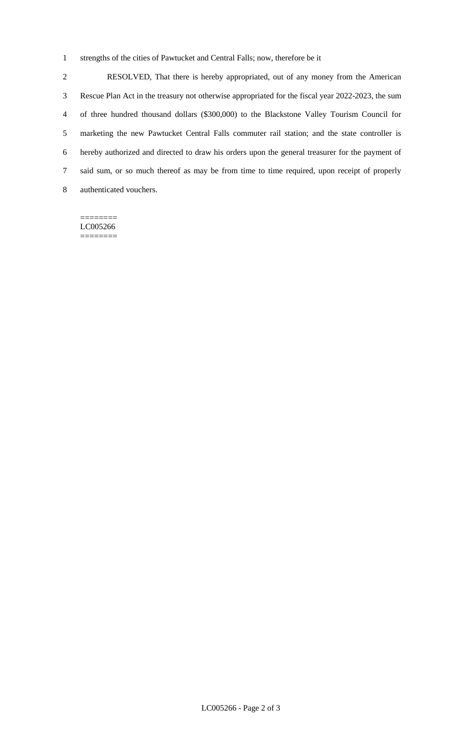strengths of the cities of Pawtucket and Central Falls; now, therefore be it

 RESOLVED, That there is hereby appropriated, out of any money from the American Rescue Plan Act in the treasury not otherwise appropriated for the fiscal year 2022-2023, the sum of three hundred thousand dollars (\$300,000) to the Blackstone Valley Tourism Council for marketing the new Pawtucket Central Falls commuter rail station; and the state controller is hereby authorized and directed to draw his orders upon the general treasurer for the payment of said sum, or so much thereof as may be from time to time required, upon receipt of properly authenticated vouchers.

======== LC005266 ========